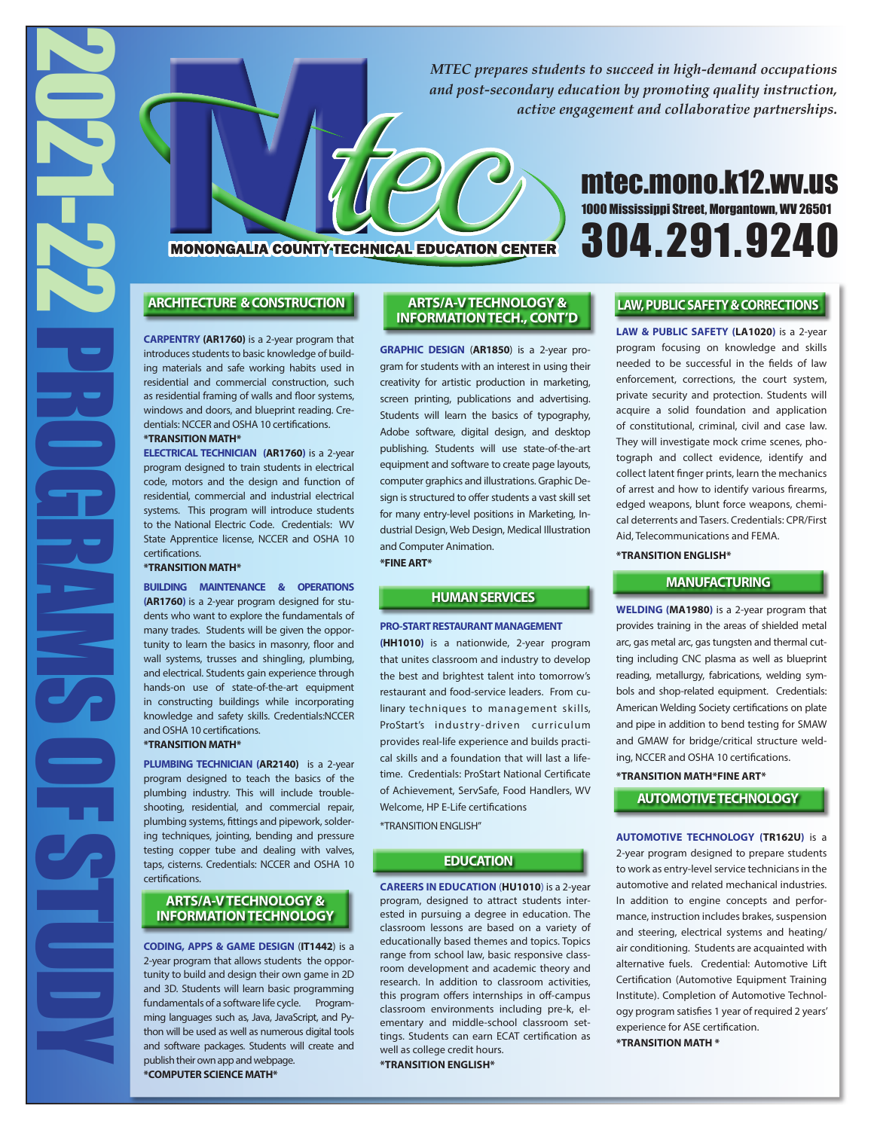*MTEC prepares students to succeed in high-demand occupations and post-secondary education by promoting quality instruction, active engagement and collaborative partnerships.*

## **MONONGALIA COUNTY-TECHNICAL EDUCATION CENTER**

# mtec.mono.k12.wv.us 1000 Mississippi Street, Morgantown, WV 26501 304.291.9240

#### **ARCHITECTURE & CONSTRUCTION**

**CARPENTRY (AR1760)** is a 2-year program that introduces students to basic knowledge of building materials and safe working habits used in residential and commercial construction, such as residential framing of walls and floor systems, windows and doors, and blueprint reading. Credentials: NCCER and OSHA 10 certifications.

## **\*TRANSITION MATH\***

**ELECTRICAL TECHNICIAN (AR1760)** is a 2-year program designed to train students in electrical code, motors and the design and function of residential, commercial and industrial electrical systems. This program will introduce students to the National Electric Code. Credentials: WV State Apprentice license, NCCER and OSHA 10 certifications.

#### **\*TRANSITION MATH\***

2022PROGRAMS OF STUDIES

**BUILDING MAINTENANCE & OPERATIONS (AR1760)** is a 2-year program designed for students who want to explore the fundamentals of many trades. Students will be given the opportunity to learn the basics in masonry, floor and wall systems, trusses and shingling, plumbing, and electrical. Students gain experience through hands-on use of state-of-the-art equipment in constructing buildings while incorporating knowledge and safety skills. Credentials:NCCER and OSHA 10 certifications.

#### **\*TRANSITION MATH\***

**PLUMBING TECHNICIAN (AR2140)** is a 2-year program designed to teach the basics of the plumbing industry. This will include troubleshooting, residential, and commercial repair, plumbing systems, fittings and pipework, soldering techniques, jointing, bending and pressure testing copper tube and dealing with valves, taps, cisterns. Credentials: NCCER and OSHA 10 certifications.

#### **ARTS/A-V TECHNOLOGY & INFORMATION TECHNOLOGY**

**CODING, APPS & GAME DESIGN** (**IT1442**) is a 2-year program that allows students the opportunity to build and design their own game in 2D and 3D. Students will learn basic programming fundamentals of a software life cycle. Programming languages such as, Java, JavaScript, and Python will be used as well as numerous digital tools and software packages. Students will create and publish their own app and webpage.

**\*COMPUTER SCIENCE MATH\***

#### **ARTS/A-V TECHNOLOGY & INFORMATION TECH., CONT'D**

**GRAPHIC DESIGN** (**AR1850**) is a 2-year program for students with an interest in using their creativity for artistic production in marketing, screen printing, publications and advertising. Students will learn the basics of typography, Adobe software, digital design, and desktop publishing. Students will use state-of-the-art equipment and software to create page layouts, computer graphics and illustrations. Graphic Design is structured to offer students a vast skill set for many entry-level positions in Marketing, Industrial Design, Web Design, Medical Illustration and Computer Animation.

**\*FINE ART\***

#### **HUMAN SERVICES**

#### **PRO-START RESTAURANT MANAGEMENT**

**(HH1010)** is a nationwide, 2-year program that unites classroom and industry to develop the best and brightest talent into tomorrow's restaurant and food-service leaders. From culinary techniques to management skills, ProStart's industry-driven curriculum provides real-life experience and builds practical skills and a foundation that will last a lifetime. Credentials: ProStart National Certificate of Achievement, ServSafe, Food Handlers, WV Welcome, HP E-Life certifications

\*TRANSITION ENGLISH"

#### **EDUCATION**

**CAREERS IN EDUCATION** (**HU1010**) is a 2-year program, designed to attract students interested in pursuing a degree in education. The classroom lessons are based on a variety of educationally based themes and topics. Topics range from school law, basic responsive classroom development and academic theory and research. In addition to classroom activities, this program offers internships in off-campus classroom environments including pre-k, elementary and middle-school classroom settings. Students can earn ECAT certification as well as college credit hours.

**\*TRANSITION ENGLISH\*** 

# **LAW, PUBLIC SAFETY & CORRECTIONS**

LAW & PUBLIC SAFETY (LA1020) is a 2-year program focusing on knowledge and skills needed to be successful in the fields of law enforcement, corrections, the court system, private security and protection. Students will acquire a solid foundation and application of constitutional, criminal, civil and case law. They will investigate mock crime scenes, photograph and collect evidence, identify and collect latent finger prints, learn the mechanics of arrest and how to identify various firearms, edged weapons, blunt force weapons, chemical deterrents and Tasers. Credentials: CPR/First Aid, Telecommunications and FEMA.

#### **\*TRANSITION ENGLISH\***

#### **MANUFACTURING**

**WELDING (MA1980)** is a 2-year program that provides training in the areas of shielded metal arc, gas metal arc, gas tungsten and thermal cutting including CNC plasma as well as blueprint reading, metallurgy, fabrications, welding symbols and shop-related equipment. Credentials: American Welding Society certifications on plate and pipe in addition to bend testing for SMAW and GMAW for bridge/critical structure welding, NCCER and OSHA 10 certifications.

**\*TRANSITION MATH\*FINE ART\***

#### **AUTOMOTIVE TECHNOLOGY**

**AUTOMOTIVE TECHNOLOGY (TR162U)** is a 2-year program designed to prepare students to work as entry-level service technicians in the automotive and related mechanical industries. In addition to engine concepts and performance, instruction includes brakes, suspension and steering, electrical systems and heating/ air conditioning. Students are acquainted with alternative fuels. Credential: Automotive Lift Certification (Automotive Equipment Training Institute). Completion of Automotive Technology program satisfies 1 year of required 2 years' experience for ASE certification.

**\*TRANSITION MATH \***